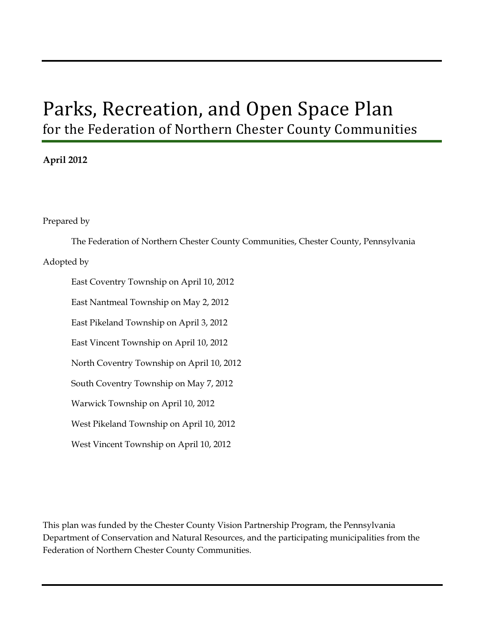# Parks, Recreation, and Open Space Plan for the Federation of Northern Chester County Communities

### **April 2012**

Prepared by

The Federation of Northern Chester County Communities, Chester County, Pennsylvania

#### Adopted by

East Coventry Township on April 10, 2012 East Nantmeal Township on May 2, 2012 East Pikeland Township on April 3, 2012 East Vincent Township on April 10, 2012 North Coventry Township on April 10, 2012 South Coventry Township on May 7, 2012 Warwick Township on April 10, 2012 West Pikeland Township on April 10, 2012 West Vincent Township on April 10, 2012

This plan was funded by the Chester County Vision Partnership Program, the Pennsylvania Department of Conservation and Natural Resources, and the participating municipalities from the Federation of Northern Chester County Communities.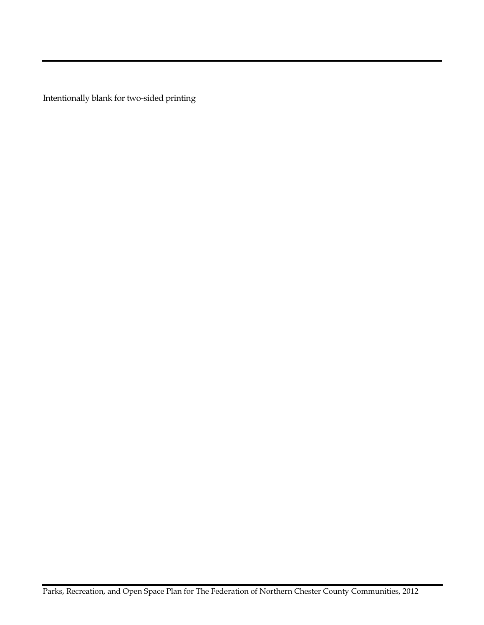Intentionally blank for two-sided printing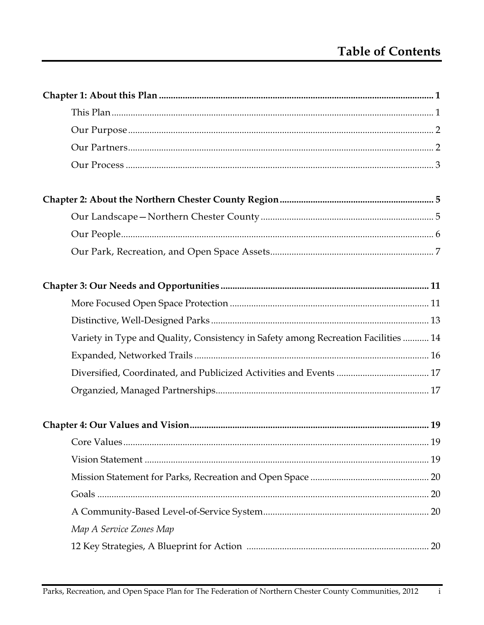| Variety in Type and Quality, Consistency in Safety among Recreation Facilities  14 |
|------------------------------------------------------------------------------------|
|                                                                                    |
|                                                                                    |
|                                                                                    |
|                                                                                    |
|                                                                                    |
|                                                                                    |
|                                                                                    |
|                                                                                    |
|                                                                                    |
| Map A Service Zones Map                                                            |
|                                                                                    |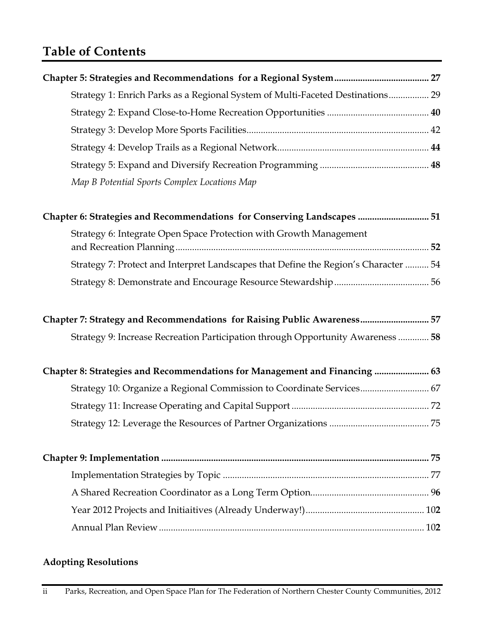# **Table of Contents**

| Strategy 1: Enrich Parks as a Regional System of Multi-Faceted Destinations 29      |
|-------------------------------------------------------------------------------------|
|                                                                                     |
|                                                                                     |
|                                                                                     |
|                                                                                     |
| Map B Potential Sports Complex Locations Map                                        |
| Chapter 6: Strategies and Recommendations for Conserving Landscapes  51             |
| Strategy 6: Integrate Open Space Protection with Growth Management                  |
| Strategy 7: Protect and Interpret Landscapes that Define the Region's Character  54 |
|                                                                                     |
| Chapter 7: Strategy and Recommendations for Raising Public Awareness 57             |
| Strategy 9: Increase Recreation Participation through Opportunity Awareness  58     |
| Chapter 8: Strategies and Recommendations for Management and Financing  63          |
| Strategy 10: Organize a Regional Commission to Coordinate Services 67               |
|                                                                                     |
|                                                                                     |
|                                                                                     |
|                                                                                     |
|                                                                                     |
|                                                                                     |
|                                                                                     |

# **Adopting Resolutions**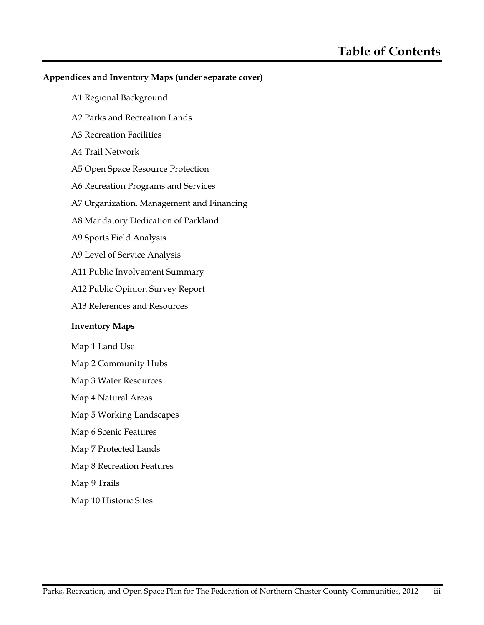#### **Appendices and Inventory Maps (under separate cover)**

- A1 Regional Background
- A2 Parks and Recreation Lands
- A3 Recreation Facilities
- A4 Trail Network
- A5 Open Space Resource Protection
- A6 Recreation Programs and Services
- A7 Organization, Management and Financing
- A8 Mandatory Dedication of Parkland
- A9 Sports Field Analysis
- A9 Level of Service Analysis
- A11 Public Involvement Summary
- A12 Public Opinion Survey Report
- A13 References and Resources

#### **Inventory Maps**

- Map 1 Land Use
- Map 2 Community Hubs
- Map 3 Water Resources
- Map 4 Natural Areas
- Map 5 Working Landscapes
- Map 6 Scenic Features
- Map 7 Protected Lands
- Map 8 Recreation Features
- Map 9 Trails
- Map 10 Historic Sites